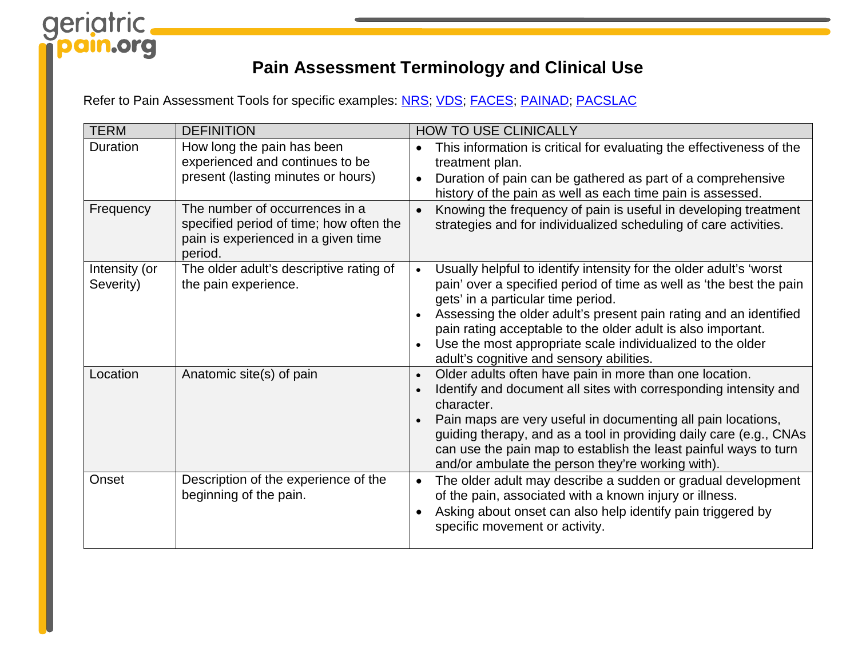# geriatric  $\bullet$

## **Pain Assessment Terminology and Clinical Use**

Refer to Pain Assessment Tools for specific examples: [NRS;](https://geriatricpain.org/assessment/cognitively-intact/numeric-rating-scale/numeric-rating-scale) [VDS;](https://geriatricpain.org/assessment/cognitively-intact/vds-pain-thermometer/verbal-descriptor-scale-pain-thermometer) [FACES;](https://geriatricpain.org/assessment/cognitively-intact/faces-pain-scale/faces-pain-scale-revised-fps-r) [PAINAD;](https://geriatricpain.org/assessment/cognitively-impaired/painad/pain-assessment-advanced-dementia-painad-tool) [PACSLAC](https://geriatricpain.org/sites/geriatricpain.org/files/wysiwyg_uploads/pacslac_checklist_with_sm_logo.pdf)

| <b>TERM</b>                | <b>DEFINITION</b>                                                                                                           | <b>HOW TO USE CLINICALLY</b>                                                                                                                                                                                                                                                                                                                                                                                                                |
|----------------------------|-----------------------------------------------------------------------------------------------------------------------------|---------------------------------------------------------------------------------------------------------------------------------------------------------------------------------------------------------------------------------------------------------------------------------------------------------------------------------------------------------------------------------------------------------------------------------------------|
| <b>Duration</b>            | How long the pain has been<br>experienced and continues to be<br>present (lasting minutes or hours)                         | This information is critical for evaluating the effectiveness of the<br>$\bullet$<br>treatment plan.<br>Duration of pain can be gathered as part of a comprehensive<br>$\bullet$<br>history of the pain as well as each time pain is assessed.                                                                                                                                                                                              |
| Frequency                  | The number of occurrences in a<br>specified period of time; how often the<br>pain is experienced in a given time<br>period. | Knowing the frequency of pain is useful in developing treatment<br>$\bullet$<br>strategies and for individualized scheduling of care activities.                                                                                                                                                                                                                                                                                            |
| Intensity (or<br>Severity) | The older adult's descriptive rating of<br>the pain experience.                                                             | Usually helpful to identify intensity for the older adult's 'worst<br>$\bullet$<br>pain' over a specified period of time as well as 'the best the pain<br>gets' in a particular time period.<br>Assessing the older adult's present pain rating and an identified<br>pain rating acceptable to the older adult is also important.<br>Use the most appropriate scale individualized to the older<br>adult's cognitive and sensory abilities. |
| Location                   | Anatomic site(s) of pain                                                                                                    | Older adults often have pain in more than one location.<br>$\bullet$<br>Identify and document all sites with corresponding intensity and<br>$\bullet$<br>character.<br>Pain maps are very useful in documenting all pain locations,<br>guiding therapy, and as a tool in providing daily care (e.g., CNAs<br>can use the pain map to establish the least painful ways to turn<br>and/or ambulate the person they're working with).          |
| Onset                      | Description of the experience of the<br>beginning of the pain.                                                              | The older adult may describe a sudden or gradual development<br>$\bullet$<br>of the pain, associated with a known injury or illness.<br>Asking about onset can also help identify pain triggered by<br>$\bullet$<br>specific movement or activity.                                                                                                                                                                                          |